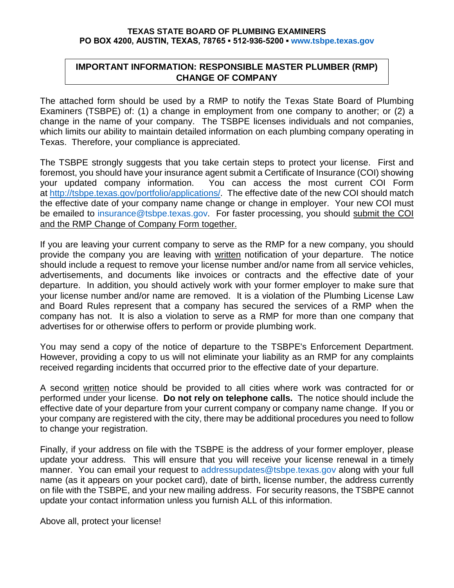#### **TEXAS STATE BOARD OF PLUMBING EXAMINERS PO BOX 4200, AUSTIN, TEXAS, 78765 ▪ 512-936-5200 ▪ [www.tsbpe.texas.gov](http://www.tsbpe.texas.gov/)**

# **IMPORTANT INFORMATION: RESPONSIBLE MASTER PLUMBER (RMP) CHANGE OF COMPANY**

The attached form should be used by a RMP to notify the Texas State Board of Plumbing Examiners (TSBPE) of: (1) a change in employment from one company to another; or (2) a change in the name of your company. The TSBPE licenses individuals and not companies, which limits our ability to maintain detailed information on each plumbing company operating in Texas. Therefore, your compliance is appreciated.

The TSBPE strongly suggests that you take certain steps to protect your license. First and foremost, you should have your insurance agent submit a Certificate of Insurance (COI) showing your updated company information. You can access the most current COI Form at<http://tsbpe.texas.gov/portfolio/applications/>. The effective date of the new COI should match be emailed to insurance@tsbpe.texas.gov. For faster processing, you should submit the COI the effective date of your company name change or change in employer. Your new COI must and the RMP Change of Company Form together.

If you are leaving your current company to serve as the RMP for a new company, you should provide the company you are leaving with written notification of your departure. The notice should include a request to remove your license number and/or name from all service vehicles, advertisements, and documents like invoices or contracts and the effective date of your departure. In addition, you should actively work with your former employer to make sure that your license number and/or name are removed. It is a violation of the Plumbing License Law and Board Rules represent that a company has secured the services of a RMP when the company has not. It is also a violation to serve as a RMP for more than one company that advertises for or otherwise offers to perform or provide plumbing work.

You may send a copy of the notice of departure to the TSBPE's Enforcement Department. However, providing a copy to us will not eliminate your liability as an RMP for any complaints received regarding incidents that occurred prior to the effective date of your departure.

A second written notice should be provided to all cities where work was contracted for or performed under your license. **Do not rely on telephone calls.** The notice should include the effective date of your departure from your current company or company name change. If you or your company are registered with the city, there may be additional procedures you need to follow to change your registration.

Finally, if your address on file with the TSBPE is the address of your former employer, please update your address. This will ensure that you will receive your license renewal in a timely manner. You can email your request to [addressupdates@tsbpe.texas.gov](mailto:addressupdates@tsbpe.texas.gov) along with your full name (as it appears on your pocket card), date of birth, license number, the address currently on file with the TSBPE, and your new mailing address. For security reasons, the TSBPE cannot update your contact information unless you furnish ALL of this information.

Above all, protect your license!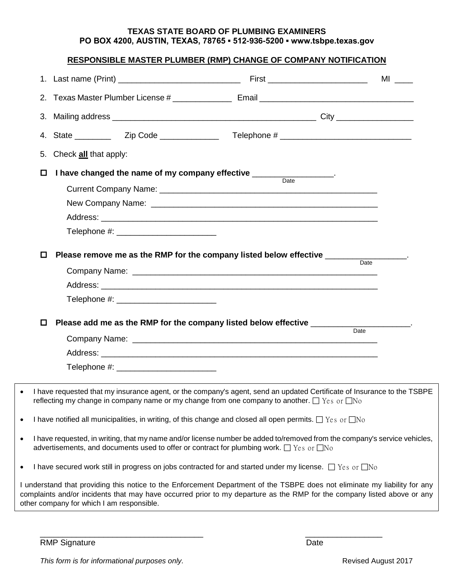### **TEXAS STATE BOARD OF PLUMBING EXAMINERS PO BOX 4200, AUSTIN, TEXAS, 78765 ▪ 512-936-5200 ▪ www.tsbpe.texas.gov**

# **RESPONSIBLE MASTER PLUMBER (RMP) CHANGE OF COMPANY NOTIFICATION**

|           | 5. Check all that apply:                  |                                          |                                                                                                                                                                                                                                                       |      |  |
|-----------|-------------------------------------------|------------------------------------------|-------------------------------------------------------------------------------------------------------------------------------------------------------------------------------------------------------------------------------------------------------|------|--|
|           | □                                         |                                          | I have changed the name of my company effective ________________.                                                                                                                                                                                     |      |  |
|           |                                           |                                          | Date                                                                                                                                                                                                                                                  |      |  |
|           |                                           |                                          |                                                                                                                                                                                                                                                       |      |  |
|           |                                           |                                          |                                                                                                                                                                                                                                                       |      |  |
|           |                                           |                                          |                                                                                                                                                                                                                                                       |      |  |
|           |                                           |                                          |                                                                                                                                                                                                                                                       |      |  |
|           | ◻                                         |                                          | Please remove me as the RMP for the company listed below effective ______________                                                                                                                                                                     |      |  |
|           |                                           |                                          |                                                                                                                                                                                                                                                       | Date |  |
|           |                                           |                                          |                                                                                                                                                                                                                                                       |      |  |
|           |                                           | Telephone #: ___________________________ |                                                                                                                                                                                                                                                       |      |  |
|           | □                                         |                                          | Please add me as the RMP for the company listed below effective _________                                                                                                                                                                             |      |  |
|           |                                           |                                          |                                                                                                                                                                                                                                                       | Date |  |
|           |                                           |                                          |                                                                                                                                                                                                                                                       |      |  |
|           |                                           |                                          |                                                                                                                                                                                                                                                       |      |  |
|           |                                           |                                          |                                                                                                                                                                                                                                                       |      |  |
|           |                                           |                                          | I have requested that my insurance agent, or the company's agent, send an updated Certificate of Insurance to the TSBPE<br>reflecting my change in company name or my change from one company to another. $\Box$ Yes or $\Box$ No                     |      |  |
| $\bullet$ |                                           |                                          | I have notified all municipalities, in writing, of this change and closed all open permits. $\Box$ Yes or $\Box$ No                                                                                                                                   |      |  |
| $\bullet$ |                                           |                                          | I have requested, in writing, that my name and/or license number be added to/removed from the company's service vehicles,<br>advertisements, and documents used to offer or contract for plumbing work. $\Box$ Yes or $\Box$ No                       |      |  |
| $\bullet$ |                                           |                                          | I have secured work still in progress on jobs contracted for and started under my license. $\Box$ Yes or $\Box$ No                                                                                                                                    |      |  |
|           | other company for which I am responsible. |                                          | I understand that providing this notice to the Enforcement Department of the TSBPE does not eliminate my liability for any<br>complaints and/or incidents that may have occurred prior to my departure as the RMP for the company listed above or any |      |  |
|           |                                           |                                          |                                                                                                                                                                                                                                                       |      |  |

\_\_\_\_\_\_\_\_\_\_\_\_\_\_\_\_\_\_\_\_\_\_\_\_\_\_\_\_\_\_\_\_\_\_\_\_ \_\_\_\_\_\_\_\_\_\_\_\_\_\_\_\_\_

RMP Signature Date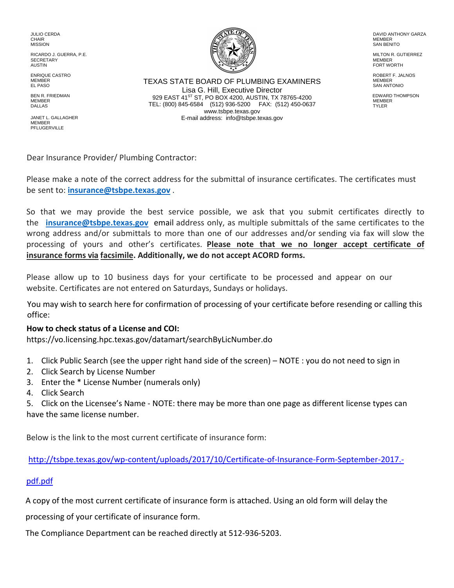JULIO CERDA CHAIR **MISSION** 

RICARDO J. GUERRA, P.E. **SECRETARY** AUSTIN

ENRIQUE CASTRO MEMBER EL PASO

BEN R. FRIEDMAN **MEMBER** DALLAS

JANET L. GALLAGHER **MEMBER PFLUGERVILLE** 



TEXAS STATE BOARD OF PLUMBING EXAMINERS Lisa G. Hill, Executive Director 929 EAST 41ST ST, PO BOX 4200, AUSTIN, TX 78765-4200 TEL: (800) 845-6584 (512) 936-5200 FAX: (512) 450-0637 www.tsbpe.texas.gov E-mail address: info@tsbpe.texas.gov

DAVID ANTHONY GARZA MEMBER SAN BENITO

 MILTON R. GUTIERREZ MEMBER FORT WORTH

 ROBERT F. JALNOS MEMBER SAN ANTONIO

EDWARD THOMPSON **MEMBER** TYLER

Dear Insurance Provider/ Plumbing Contractor:

Please make a note of the correct address for the submittal of insurance certificates. The certificates must be sent to: **[insurance@tsbpe.texas.g](mailto:insurance@tsbpe.texas.gov)ov** .

So that we may provide the best service possible, we ask that you submit certificates directly to the **[insurance@tsbpe.texas](mailto:insurance@tsbpe.texas.gov).gov** email address only, as multiple submittals of the same certificates to the wrong address and/or submittals to more than one of our addresses and/or sending via fax will slow the processing of yours and other's certificates. **Please note that we no longer accept certificate of insurance forms via facsimile. Additionally, we do not accept ACORD forms.** 

Please allow up to 10 business days for your certificate to be processed and appear on our website. Certificates are not entered on Saturdays, Sundays or holidays.

You may wish to search here for confirmation of processing of your certificate before resending or calling this office:

## **How to check status of a License and COI:**

[https://vo.licensing.hpc.texas.gov/datamart/searchByLicNumber.do](https://licensing.hpc.state.tx.us/datamart/mainMenu.do;jsessionid=0ECC7B609E786712DE437DB56CBCBC61.worker2) 

- [1. Click](https://licensing.hpc.state.tx.us/datamart/mainMenu.do;jsessionid=0ECC7B609E786712DE437DB56CBCBC61.worker2) Public Search (see the upper right hand side of the screen) NOTE : you do not need to sign in
- 2. Click Search by License Number
- 3. Enter the \* License Number (numerals only)
- 4. Click Search

[5. Click on the Licensee's Name - NOTE: there may be more than one page as different li](http://www.tsbpe.state.tx.us/common/certificateofinsuranceformrevisedAPRIL2016.pdf)cense types can have the same license number.

Below is the link to the most current certificate of insurance form:

http://tsbpe.texas.gov/wp-content/uploads/2017/10/Certificate-of-Insurance-Form-September-2017.-

## pdf.pdf

A copy of the most current certificate of insurance form is attached. Using an old form will delay the

processing of your certificate of insurance form.

The Compliance Department can be reached directly at 512-936-5203.